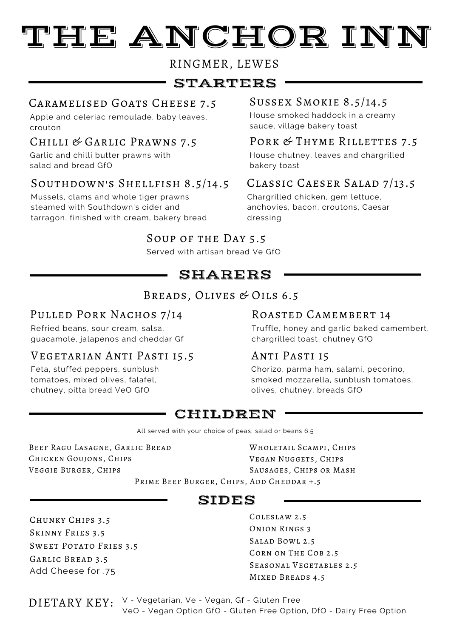# TEE ANCHOR INN

## RINGMER, LEWES

# STARTERS

# Caramelised Goats Cheese 7.5 Sussex Smokie 8.5/14.5

Apple and celeriac remoulade, baby leaves, crouton

Garlic and chilli butter prawns with salad and bread GfO

# Southdown's Shellfish 8.5/14.5

Mussels, clams and whole tiger prawns steamed with Southdown's cider and tarragon, finished with cream, bakery bread

House smoked haddock in a creamy sauce, village bakery toast

#### Chilli & Garlic Prawns 7.5 Pork & Thyme Rillettes 7.5

House chutney, leaves and chargrilled bakery toast

# Classic Caeser Salad 7/13.5

Chargrilled chicken, gem lettuce, anchovies, bacon, croutons, Caesar dressing

# Soup of the Day 5.5

Served with artisan bread Ve GfO

# SHARERS

# Breads, Olives & Oils 6.5

# PULLED PORK NACHOS 7/14

Refried beans, sour cream, salsa, guacamole, jalapenos and cheddar Gf

## Vegetarian Anti Pasti 15.5

Feta, stuffed peppers, sunblush tomatoes, mixed olives, falafel, chutney, pitta bread VeO GfO

### Roasted Camembert 14

Truffle, honey and garlic baked camembert, chargrilled toast, chutney GfO

## Anti Pasti 15

Chorizo, parma ham, salami, pecorino, smoked mozzarella, sunblush tomatoes, olives, chutney, breads GfO

# CHILDREN

All served with your choice of peas, salad or beans 6.5

Beef Ragu Lasagne, Garlic Bread Chicken Goujons, Chips Veggie Burger, Chips

Wholetail Scampi, Chips Vegan Nuggets, Chips Sausages, Chips or Mash

Prime Beef Burger, Chips, Add Cheddar +.5

# SIDES

Chunky Chips 3.5 Skinny Fries 3.5 Sweet Potato Fries 3.5 Garlic Bread 3.5 Add Cheese for .75

Coleslaw 2.5 Onion Rings 3 Salad Bowl 2.5 Corn on The Cob 2.5 Seasonal Vegetables 2.5 Mixed Breads 4.5

DIETARY KEY: V - Vegetarian, Ve - Vegan, Gf - Gluten Free VeO - Vegan Option GfO - Gluten Free Option, DfO - Dairy Free Option